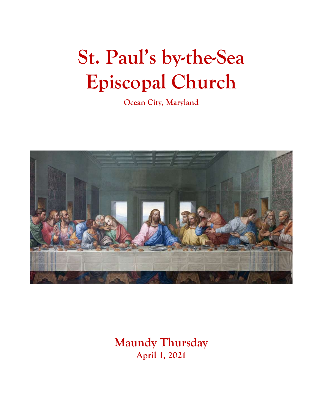# **St. Paul's by-the-Sea Episcopal Church**

**Ocean City, Maryland**



**Maundy Thursday April 1, 2021**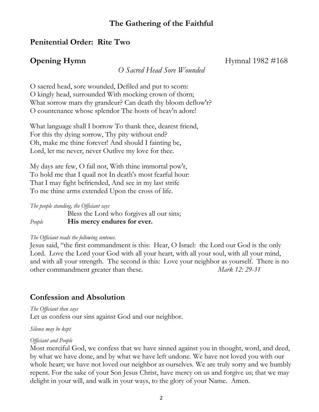#### **The Gathering of the Faithful**

#### **Penitential Order: Rite Two**

*O Sacred Head Sore Wounded*

**Opening Hymn** Hymnal 1982 #168

O sacred head, sore wounded, Defiled and put to scorn: O kingly head, surrounded With mocking crown of thorn; What sorrow mars thy grandeur? Can death thy bloom deflow'r? O countenance whose splendor The hosts of heav'n adore!

What language shall I borrow To thank thee, dearest friend, For this thy dying sorrow, Thy pity without end? Oh, make me thine forever! And should I fainting be, Lord, let me never, never Outlive my love for thee.

My days are few, O fail not, With thine immortal pow'r, To hold me that I quail not In death's most fearful hour: That I may fight befriended, And see in my last strife To me thine arms extended Upon the cross of life.

*The people standing, the Officiant says* Bless the Lord who forgives all our sins; *People* **His mercy endures for ever.**

#### *The Officiant reads the following sentence.*

Jesus said, "the first commandment is this: Hear, O Israel: the Lord our God is the only Lord. Love the Lord your God with all your heart, with all your soul, with all your mind, and with all your strength. The second is this: Love your neighbor as yourself. There is no other commandment greater than these. *Mark 12: 29-31*

#### **Confession and Absolution**

*The Officiant then says* Let us confess our sins against God and our neighbor.

*Silence may be kept*

#### *Officiant and People*

Most merciful God, we confess that we have sinned against you in thought, word, and deed, by what we have done, and by what we have left undone. We have not loved you with our whole heart; we have not loved our neighbor as ourselves. We are truly sorry and we humbly repent. For the sake of your Son Jesus Christ, have mercy on us and forgive us; that we may delight in your will, and walk in your ways, to the glory of your Name. Amen.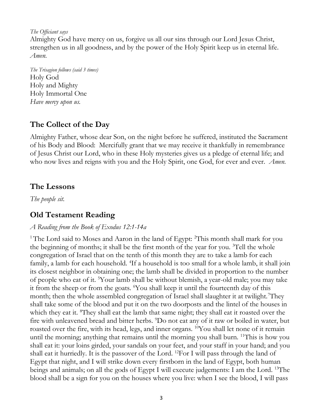*The Officiant says*

Almighty God have mercy on us, forgive us all our sins through our Lord Jesus Christ, strengthen us in all goodness, and by the power of the Holy Spirit keep us in eternal life. *Amen.*

*The Trisagion follows (said 3 times)* Holy God Holy and Mighty Holy Immortal One *Have mercy upon us.*

#### **The Collect of the Day**

Almighty Father, whose dear Son, on the night before he suffered, instituted the Sacrament of his Body and Blood: Mercifully grant that we may receive it thankfully in remembrance of Jesus Christ our Lord, who in these Holy mysteries gives us a pledge of eternal life; and who now lives and reigns with you and the Holy Spirit, one God, for ever and ever. *Amen.*

#### **The Lessons**

*The people sit.*

#### **Old Testament Reading**

#### *A Reading from the Book of Exodus 12:1-14a*

<sup>1</sup> The Lord said to Moses and Aaron in the land of Egypt: <sup>2</sup>This month shall mark for you the beginning of months; it shall be the first month of the year for you.  ${}^{3}$ Tell the whole congregation of Israel that on the tenth of this month they are to take a lamb for each family, a lamb for each household. <sup>4</sup>If a household is too small for a whole lamb, it shall join its closest neighbor in obtaining one; the lamb shall be divided in proportion to the number of people who eat of it. <sup>5</sup>Your lamb shall be without blemish, a year-old male; you may take it from the sheep or from the goats. <sup>6</sup>You shall keep it until the fourteenth day of this month; then the whole assembled congregation of Israel shall slaughter it at twilight. They shall take some of the blood and put it on the two doorposts and the lintel of the houses in which they eat it. <sup>8</sup>They shall eat the lamb that same night; they shall eat it roasted over the fire with unleavened bread and bitter herbs. <sup>9</sup>Do not eat any of it raw or boiled in water, but roasted over the fire, with its head, legs, and inner organs. <sup>10</sup>You shall let none of it remain until the morning; anything that remains until the morning you shall burn. <sup>11</sup>This is how you shall eat it: your loins girded, your sandals on your feet, and your staff in your hand; and you shall eat it hurriedly. It is the passover of the Lord. <sup>12</sup>For I will pass through the land of Egypt that night, and I will strike down every firstborn in the land of Egypt, both human beings and animals; on all the gods of Egypt I will execute judgements: I am the Lord. <sup>13</sup>The blood shall be a sign for you on the houses where you live: when I see the blood, I will pass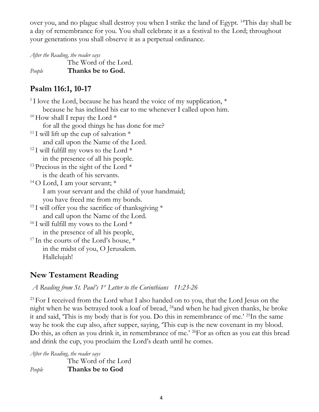over you, and no plague shall destroy you when I strike the land of Egypt. <sup>14</sup>This day shall be a day of remembrance for you. You shall celebrate it as a festival to the Lord; throughout your generations you shall observe it as a perpetual ordinance.

*After the Reading, the reader says*

The Word of the Lord. *People* **Thanks be to God.**

#### **Psalm 116:1, 10-17**

| <sup>1</sup> I love the Lord, because he has heard the voice of my supplication, $*$ |
|--------------------------------------------------------------------------------------|
| because he has inclined his ear to me whenever I called upon him.                    |
| <sup>10</sup> How shall I repay the Lord $*$                                         |
| for all the good things he has done for me?                                          |
| <sup>11</sup> I will lift up the cup of salvation $*$                                |
| and call upon the Name of the Lord.                                                  |
| <sup>12</sup> I will fulfill my vows to the Lord $*$                                 |
| in the presence of all his people.                                                   |
| <sup>13</sup> Precious in the sight of the Lord $*$                                  |
| is the death of his servants.                                                        |
| <sup>14</sup> O Lord, I am your servant; $*$                                         |
| I am your servant and the child of your handmaid;                                    |
| you have freed me from my bonds.                                                     |
| <sup>15</sup> I will offer you the sacrifice of thanks giving $*$                    |
| and call upon the Name of the Lord.                                                  |
| <sup>16</sup> I will fulfill my vows to the Lord $*$                                 |
| in the presence of all his people,                                                   |
| <sup>17</sup> In the courts of the Lord's house, *                                   |
| in the midst of you, O Jerusalem.                                                    |
| Hallelujah!                                                                          |

### **New Testament Reading**

*A Reading from St. Paul's 1st Letter to the Corinthians 11:23-26* 

 $^{23}$  For I received from the Lord what I also handed on to you, that the Lord Jesus on the night when he was betrayed took a loaf of bread, <sup>24</sup>and when he had given thanks, he broke it and said, 'This is my body that is for you. Do this in remembrance of me.' <sup>25</sup>In the same way he took the cup also, after supper, saying, 'This cup is the new covenant in my blood. Do this, as often as you drink it, in remembrance of me.' <sup>26</sup>For as often as you eat this bread and drink the cup, you proclaim the Lord's death until he comes.

*After the Reading, the reader says* The Word of the Lord *People* **Thanks be to God**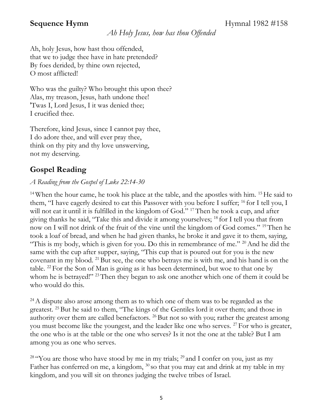**Sequence Hymn** Hymnal 1982 #158

*Ah Holy Jesus, how has thou Offended*

Ah, holy Jesus, how hast thou offended, that we to judge thee have in hate pretended? By foes derided, by thine own rejected, O most afflicted!

Who was the guilty? Who brought this upon thee? Alas, my treason, Jesus, hath undone thee! 'Twas I, Lord Jesus, I it was denied thee; I crucified thee.

Therefore, kind Jesus, since I cannot pay thee, I do adore thee, and will ever pray thee, think on thy pity and thy love unswerving, not my deserving.

### **Gospel Reading**

#### *A Reading from the Gospel of Luke 22:14-30*

<sup>14</sup> When the hour came, he took his place at the table, and the apostles with him. <sup>15</sup> He said to them, "I have eagerly desired to eat this Passover with you before I suffer; <sup>16</sup> for I tell you, I will not eat it until it is fulfilled in the kingdom of God." <sup>17</sup> Then he took a cup, and after giving thanks he said, "Take this and divide it among yourselves; <sup>18</sup> for I tell you that from now on I will not drink of the fruit of the vine until the kingdom of God comes." <sup>19</sup>Then he took a loaf of bread, and when he had given thanks, he broke it and gave it to them, saying, "This is my body, which is given for you. Do this in remembrance of me."  $20$  And he did the same with the cup after supper, saying, "This cup that is poured out for you is the new covenant in my blood. <sup>21</sup> But see, the one who betrays me is with me, and his hand is on the table. <sup>22</sup> For the Son of Man is going as it has been determined, but woe to that one by whom he is betrayed!" <sup>23</sup> Then they began to ask one another which one of them it could be who would do this.

<sup>24</sup>A dispute also arose among them as to which one of them was to be regarded as the greatest. <sup>25</sup> But he said to them, "The kings of the Gentiles lord it over them; and those in authority over them are called benefactors. <sup>26</sup> But not so with you; rather the greatest among you must become like the youngest, and the leader like one who serves. <sup>27</sup> For who is greater, the one who is at the table or the one who serves? Is it not the one at the table? But I am among you as one who serves.

<sup>28</sup> "You are those who have stood by me in my trials;  $^{29}$  and I confer on you, just as my Father has conferred on me, a kingdom,  $30$  so that you may eat and drink at my table in my kingdom, and you will sit on thrones judging the twelve tribes of Israel.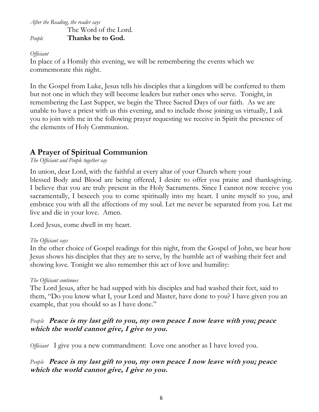*After the Reading, the reader says*

The Word of the Lord. *People* **Thanks be to God.**

#### *Officiant*

In place of a Homily this evening, we will be remembering the events which we commemorate this night.

In the Gospel from Luke, Jesus tells his disciples that a kingdom will be conferred to them but not one in which they will become leaders but rather ones who serve. Tonight, in remembering the Last Supper, we begin the Three Sacred Days of our faith. As we are unable to have a priest with us this evening, and to include those joining us virtually, I ask you to join with me in the following prayer requesting we receive in Spirit the presence of the elements of Holy Communion.

### **A Prayer of Spiritual Communion**

*The Officiant and People together say*

In union, dear Lord, with the faithful at every altar of your Church where your blessed Body and Blood are being offered, I desire to offer you praise and thanksgiving. I believe that you are truly present in the Holy Sacraments. Since I cannot now receive you sacramentally, I beseech you to come spiritually into my heart. I unite myself to you, and embrace you with all the affections of my soul. Let me never be separated from you. Let me live and die in your love. Amen.

Lord Jesus, come dwell in my heart.

#### *The Officiant says*

In the other choice of Gospel readings for this night, from the Gospel of John, we hear how Jesus shows his disciples that they are to serve, by the humble act of washing their feet and showing love. Tonight we also remember this act of love and humility:

#### *The Officiant continues*

The Lord Jesus, after he had supped with his disciples and had washed their feet, said to them, "Do you know what I, your Lord and Master, have done to you? I have given you an example, that you should so as I have done."

#### *People* **Peace is my last gift to you, my own peace I now leave with you; peace which the world cannot give, I give to you.**

*Officiant* I give you a new commandment: Love one another as I have loved you.

#### *People* **Peace is my last gift to you, my own peace I now leave with you; peace which the world cannot give, I give to you.**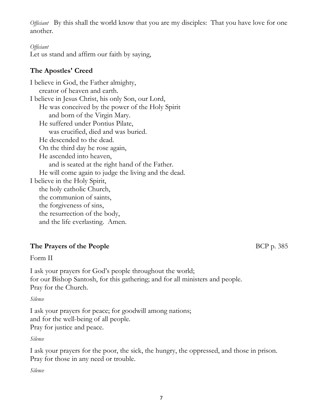*Officiant* By this shall the world know that you are my disciples: That you have love for one another.

#### *Officiant*

Let us stand and affirm our faith by saying,

#### **The Apostles' Creed**

I believe in God, the Father almighty, creator of heaven and earth. I believe in Jesus Christ, his only Son, our Lord, He was conceived by the power of the Holy Spirit and born of the Virgin Mary. He suffered under Pontius Pilate, was crucified, died and was buried. He descended to the dead. On the third day he rose again, He ascended into heaven, and is seated at the right hand of the Father. He will come again to judge the living and the dead. I believe in the Holy Spirit, the holy catholic Church, the communion of saints, the forgiveness of sins, the resurrection of the body, and the life everlasting. Amen.

#### **The Prayers of the People** BCP p. 385

#### Form II

I ask your prayers for God's people throughout the world; for our Bishop Santosh, for this gathering; and for all ministers and people. Pray for the Church.

#### *Silence*

I ask your prayers for peace; for goodwill among nations; and for the well-being of all people. Pray for justice and peace.

#### *Silence*

I ask your prayers for the poor, the sick, the hungry, the oppressed, and those in prison. Pray for those in any need or trouble.

*Silence*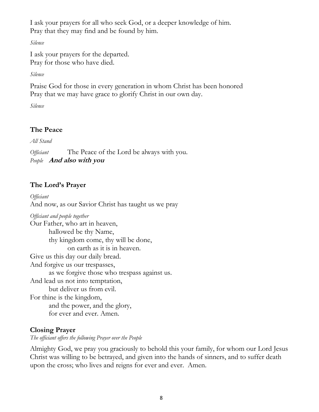I ask your prayers for all who seek God, or a deeper knowledge of him. Pray that they may find and be found by him.

*Silence*

I ask your prayers for the departed. Pray for those who have died.

*Silence*

Praise God for those in every generation in whom Christ has been honored Pray that we may have grace to glorify Christ in our own day.

*Silence*

#### **The Peace**

*All Stand*

*Officiant* The Peace of the Lord be always with you. *People* **And also with you**

#### **The Lord's Prayer**

*Officiant* And now, as our Savior Christ has taught us we pray

*Officiant and people together* Our Father, who art in heaven, hallowed be thy Name, thy kingdom come, thy will be done, on earth as it is in heaven. Give us this day our daily bread. And forgive us our trespasses, as we forgive those who trespass against us. And lead us not into temptation, but deliver us from evil. For thine is the kingdom, and the power, and the glory, for ever and ever. Amen.

#### **Closing Prayer**

*The officiant offers the following Prayer over the People*

Almighty God, we pray you graciously to behold this your family, for whom our Lord Jesus Christ was willing to be betrayed, and given into the hands of sinners, and to suffer death upon the cross; who lives and reigns for ever and ever. Amen.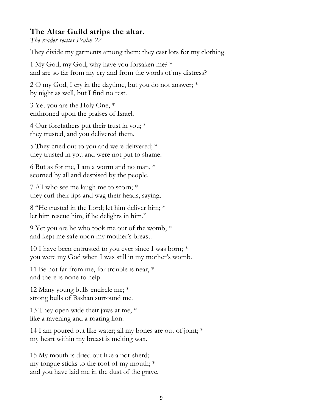#### **The Altar Guild strips the altar.**

*The reader recites Psalm 22*

They divide my garments among them; they cast lots for my clothing. Ĭ

1 My God, my God, why have you forsaken me? \* and are so far from my cry and from the words of my distress?

2 O my God, I cry in the daytime, but you do not answer; \* by night as well, but I find no rest.

3 Yet you are the Holy One, \* enthroned upon the praises of Israel.

4 Our forefathers put their trust in you; \* they trusted, and you delivered them.

5 They cried out to you and were delivered; \* they trusted in you and were not put to shame.

6 But as for me, I am a worm and no man, \* scorned by all and despised by the people.

7 All who see me laugh me to scorn; \* they curl their lips and wag their heads, saying,

8 "He trusted in the Lord; let him deliver him; \* let him rescue him, if he delights in him."

9 Yet you are he who took me out of the womb, \* and kept me safe upon my mother's breast.

10 I have been entrusted to you ever since I was born; \* you were my God when I was still in my mother's womb.

11 Be not far from me, for trouble is near, \* and there is none to help.

12 Many young bulls encircle me; \* strong bulls of Bashan surround me.

13 They open wide their jaws at me, \* like a ravening and a roaring lion.

14 I am poured out like water; all my bones are out of joint; \* my heart within my breast is melting wax.

15 My mouth is dried out like a pot-sherd; my tongue sticks to the roof of my mouth; \* and you have laid me in the dust of the grave.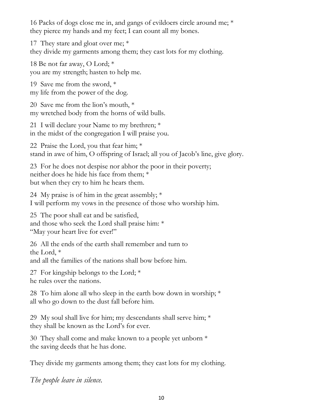16 Packs of dogs close me in, and gangs of evildoers circle around me; \* they pierce my hands and my feet; I can count all my bones.

17 They stare and gloat over me; \* they divide my garments among them; they cast lots for my clothing.

18 Be not far away, O Lord; \* you are my strength; hasten to help me.

19 Save me from the sword, \* my life from the power of the dog.

20 Save me from the lion's mouth, \* my wretched body from the horns of wild bulls.

21 I will declare your Name to my brethren; \* in the midst of the congregation I will praise you.

22 Praise the Lord, you that fear him; \* stand in awe of him, O offspring of Israel; all you of Jacob's line, give glory.

23 For he does not despise nor abhor the poor in their poverty; neither does he hide his face from them; \* but when they cry to him he hears them.

24 My praise is of him in the great assembly; \* I will perform my vows in the presence of those who worship him.

25 The poor shall eat and be satisfied, and those who seek the Lord shall praise him: \* "May your heart live for ever!"

26 All the ends of the earth shall remember and turn to the Lord, \* and all the families of the nations shall bow before him.

27 For kingship belongs to the Lord; \* he rules over the nations.

28 To him alone all who sleep in the earth bow down in worship; \* all who go down to the dust fall before him.

29 My soul shall live for him; my descendants shall serve him;  $*$ they shall be known as the Lord's for ever.

30 They shall come and make known to a people yet unborn \* the saving deeds that he has done.

They divide my garments among them; they cast lots for my clothing.

*The people leave in silence.*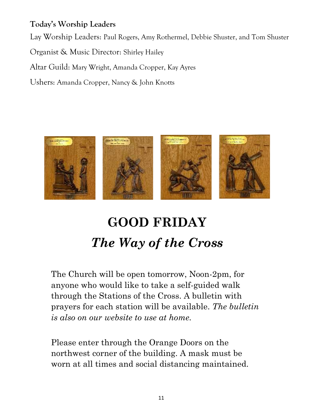### **Today's Worship Leaders**

Lay Worship Leaders: Paul Rogers, Amy Rothermel, Debbie Shuster, and Tom Shuster

Organist & Music Director: Shirley Hailey

Altar Guild: Mary Wright, Amanda Cropper, Kay Ayres

Ushers: Amanda Cropper, Nancy & John Knotts



## **GOOD FRIDAY** *The Way of the Cross*

The Church will be open tomorrow, Noon-2pm, for anyone who would like to take a self-guided walk through the Stations of the Cross. A bulletin with prayers for each station will be available. *The bulletin is also on our website to use at home.*

Please enter through the Orange Doors on the northwest corner of the building. A mask must be worn at all times and social distancing maintained.